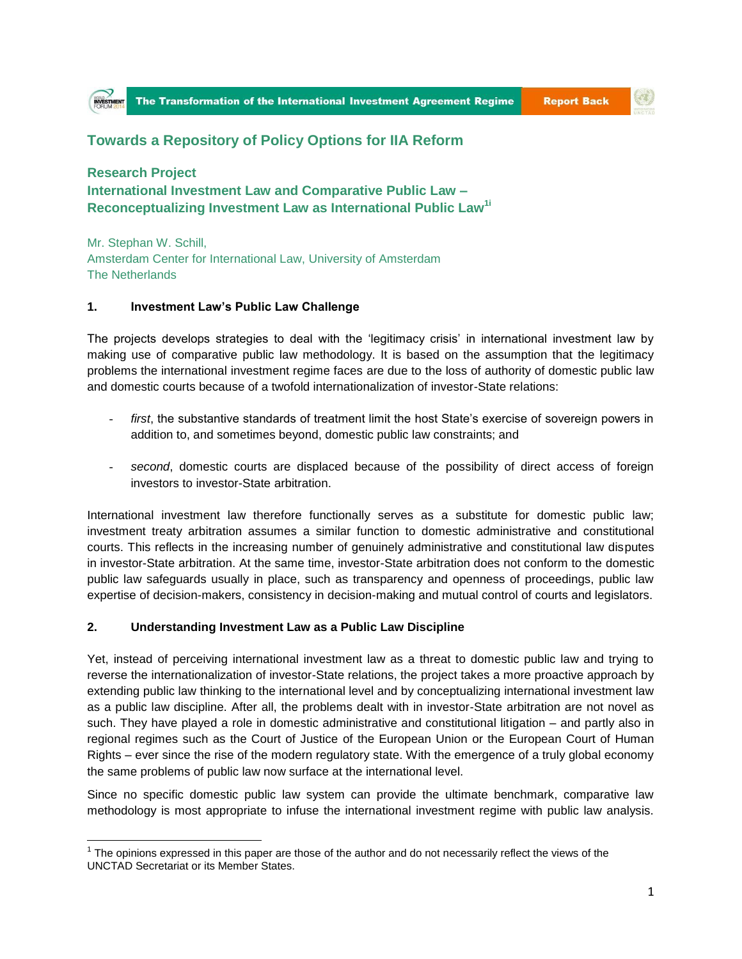## **Towards a Repository of Policy Options for IIA Reform**

**Research Project International Investment Law and Comparative Public Law – Reconceptualizing Investment Law as International Public Law1i**

Mr. Stephan W. Schill, Amsterdam Center for International Law, University of Amsterdam The Netherlands

## **1. Investment Law's Public Law Challenge**

The projects develops strategies to deal with the 'legitimacy crisis' in international investment law by making use of comparative public law methodology. It is based on the assumption that the legitimacy problems the international investment regime faces are due to the loss of authority of domestic public law and domestic courts because of a twofold internationalization of investor-State relations:

- first, the substantive standards of treatment limit the host State's exercise of sovereign powers in addition to, and sometimes beyond, domestic public law constraints; and
- *second*, domestic courts are displaced because of the possibility of direct access of foreign investors to investor-State arbitration.

International investment law therefore functionally serves as a substitute for domestic public law; investment treaty arbitration assumes a similar function to domestic administrative and constitutional courts. This reflects in the increasing number of genuinely administrative and constitutional law disputes in investor-State arbitration. At the same time, investor-State arbitration does not conform to the domestic public law safeguards usually in place, such as transparency and openness of proceedings, public law expertise of decision-makers, consistency in decision-making and mutual control of courts and legislators.

## **2. Understanding Investment Law as a Public Law Discipline**

Yet, instead of perceiving international investment law as a threat to domestic public law and trying to reverse the internationalization of investor-State relations, the project takes a more proactive approach by extending public law thinking to the international level and by conceptualizing international investment law as a public law discipline. After all, the problems dealt with in investor-State arbitration are not novel as such. They have played a role in domestic administrative and constitutional litigation – and partly also in regional regimes such as the Court of Justice of the European Union or the European Court of Human Rights – ever since the rise of the modern regulatory state. With the emergence of a truly global economy the same problems of public law now surface at the international level.

Since no specific domestic public law system can provide the ultimate benchmark, comparative law methodology is most appropriate to infuse the international investment regime with public law analysis.

 $\overline{a}$  $1$  The opinions expressed in this paper are those of the author and do not necessarily reflect the views of the UNCTAD Secretariat or its Member States.